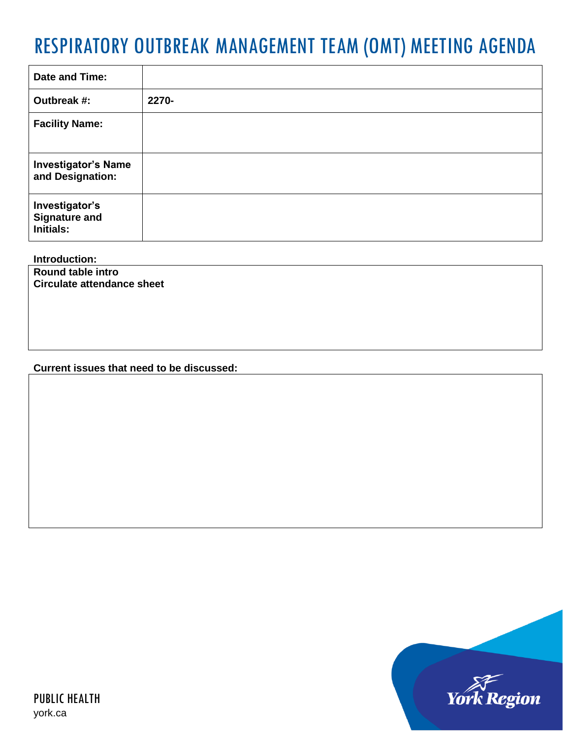## RESPIRATORY OUTBREAK MANAGEMENT TEAM (OMT) MEETING AGENDA

| Date and Time:                                             |       |
|------------------------------------------------------------|-------|
| Outbreak #:                                                | 2270- |
| <b>Facility Name:</b>                                      |       |
| <b>Investigator's Name</b><br>and Designation:             |       |
| Investigator's<br><b>Signature and</b><br><b>Initials:</b> |       |

**Introduction:**

**Round table intro Circulate attendance sheet**

## **Current issues that need to be discussed:**

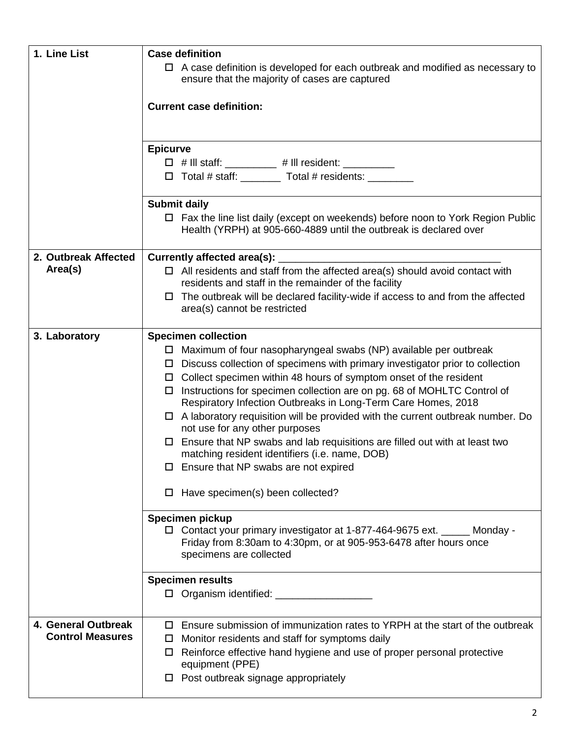| 1. Line List            | <b>Case definition</b>                                                                                                                                     |
|-------------------------|------------------------------------------------------------------------------------------------------------------------------------------------------------|
|                         | $\Box$ A case definition is developed for each outbreak and modified as necessary to<br>ensure that the majority of cases are captured                     |
|                         | <b>Current case definition:</b>                                                                                                                            |
|                         |                                                                                                                                                            |
|                         | <b>Epicurve</b>                                                                                                                                            |
|                         | □ # III staff: _________ # III resident: ________<br>□ Total # staff: ________ Total # residents: ________                                                 |
|                         |                                                                                                                                                            |
|                         | <b>Submit daily</b>                                                                                                                                        |
|                         | $\Box$ Fax the line list daily (except on weekends) before noon to York Region Public<br>Health (YRPH) at 905-660-4889 until the outbreak is declared over |
| 2. Outbreak Affected    | Currently affected area(s):                                                                                                                                |
| Area(s)                 | $\Box$ All residents and staff from the affected area(s) should avoid contact with<br>residents and staff in the remainder of the facility                 |
|                         | $\Box$ The outbreak will be declared facility-wide if access to and from the affected                                                                      |
|                         | area(s) cannot be restricted                                                                                                                               |
| 3. Laboratory           | <b>Specimen collection</b>                                                                                                                                 |
|                         | $\Box$ Maximum of four nasopharyngeal swabs (NP) available per outbreak                                                                                    |
|                         | $\Box$ Discuss collection of specimens with primary investigator prior to collection                                                                       |
|                         | $\Box$ Collect specimen within 48 hours of symptom onset of the resident<br>$\Box$ Instructions for specimen collection are on pg. 68 of MOHLTC Control of |
|                         | Respiratory Infection Outbreaks in Long-Term Care Homes, 2018                                                                                              |
|                         | $\Box$ A laboratory requisition will be provided with the current outbreak number. Do<br>not use for any other purposes                                    |
|                         | $\Box$ Ensure that NP swabs and lab requisitions are filled out with at least two<br>matching resident identifiers (i.e. name, DOB)                        |
|                         | $\Box$ Ensure that NP swabs are not expired                                                                                                                |
|                         | $\Box$ Have specimen(s) been collected?                                                                                                                    |
|                         | Specimen pickup                                                                                                                                            |
|                         | □ Contact your primary investigator at 1-877-464-9675 ext. _____ Monday -                                                                                  |
|                         | Friday from 8:30am to 4:30pm, or at 905-953-6478 after hours once<br>specimens are collected                                                               |
|                         | <b>Specimen results</b>                                                                                                                                    |
|                         | D Organism identified: __________________                                                                                                                  |
| 4. General Outbreak     | Ensure submission of immunization rates to YRPH at the start of the outbreak<br>$\Box$                                                                     |
| <b>Control Measures</b> | Monitor residents and staff for symptoms daily<br>□                                                                                                        |
|                         | Reinforce effective hand hygiene and use of proper personal protective<br>□<br>equipment (PPE)                                                             |
|                         | $\Box$ Post outbreak signage appropriately                                                                                                                 |
|                         |                                                                                                                                                            |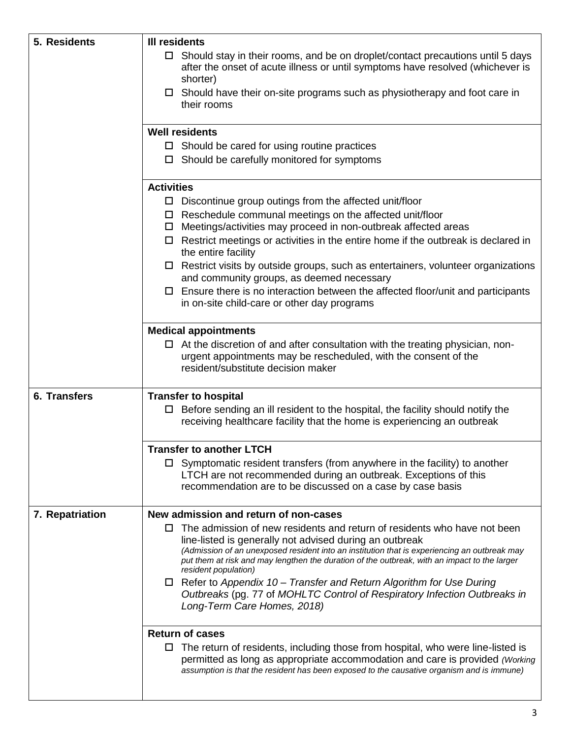| 5. Residents    | <b>III residents</b>                                                                                                                                |
|-----------------|-----------------------------------------------------------------------------------------------------------------------------------------------------|
|                 | $\Box$ Should stay in their rooms, and be on droplet/contact precautions until 5 days                                                               |
|                 | after the onset of acute illness or until symptoms have resolved (whichever is                                                                      |
|                 | shorter)                                                                                                                                            |
|                 | $\Box$ Should have their on-site programs such as physiotherapy and foot care in<br>their rooms                                                     |
|                 | <b>Well residents</b>                                                                                                                               |
|                 | $\Box$ Should be cared for using routine practices                                                                                                  |
|                 | $\Box$ Should be carefully monitored for symptoms                                                                                                   |
|                 | <b>Activities</b>                                                                                                                                   |
|                 | $\Box$ Discontinue group outings from the affected unit/floor                                                                                       |
|                 | $\Box$ Reschedule communal meetings on the affected unit/floor<br>Meetings/activities may proceed in non-outbreak affected areas                    |
|                 | 0<br>$\Box$ Restrict meetings or activities in the entire home if the outbreak is declared in                                                       |
|                 | the entire facility                                                                                                                                 |
|                 | $\Box$ Restrict visits by outside groups, such as entertainers, volunteer organizations                                                             |
|                 | and community groups, as deemed necessary                                                                                                           |
|                 | $\square$ Ensure there is no interaction between the affected floor/unit and participants                                                           |
|                 | in on-site child-care or other day programs                                                                                                         |
|                 | <b>Medical appointments</b>                                                                                                                         |
|                 | $\Box$ At the discretion of and after consultation with the treating physician, non-                                                                |
|                 | urgent appointments may be rescheduled, with the consent of the                                                                                     |
|                 | resident/substitute decision maker                                                                                                                  |
| 6. Transfers    | <b>Transfer to hospital</b>                                                                                                                         |
|                 | $\Box$ Before sending an ill resident to the hospital, the facility should notify the                                                               |
|                 | receiving healthcare facility that the home is experiencing an outbreak                                                                             |
|                 |                                                                                                                                                     |
|                 | Transfer to another LTCH                                                                                                                            |
|                 | $\Box$ Symptomatic resident transfers (from anywhere in the facility) to another<br>LTCH are not recommended during an outbreak. Exceptions of this |
|                 | recommendation are to be discussed on a case by case basis                                                                                          |
|                 |                                                                                                                                                     |
| 7. Repatriation | New admission and return of non-cases                                                                                                               |
|                 | The admission of new residents and return of residents who have not been<br>ப<br>line-listed is generally not advised during an outbreak            |
|                 | (Admission of an unexposed resident into an institution that is experiencing an outbreak may                                                        |
|                 | put them at risk and may lengthen the duration of the outbreak, with an impact to the larger<br>resident population)                                |
|                 | $\Box$ Refer to Appendix 10 – Transfer and Return Algorithm for Use During                                                                          |
|                 | Outbreaks (pg. 77 of MOHLTC Control of Respiratory Infection Outbreaks in                                                                           |
|                 | Long-Term Care Homes, 2018)                                                                                                                         |
|                 | <b>Return of cases</b>                                                                                                                              |
|                 | $\Box$ The return of residents, including those from hospital, who were line-listed is                                                              |
|                 | permitted as long as appropriate accommodation and care is provided (Working                                                                        |
|                 | assumption is that the resident has been exposed to the causative organism and is immune)                                                           |
|                 |                                                                                                                                                     |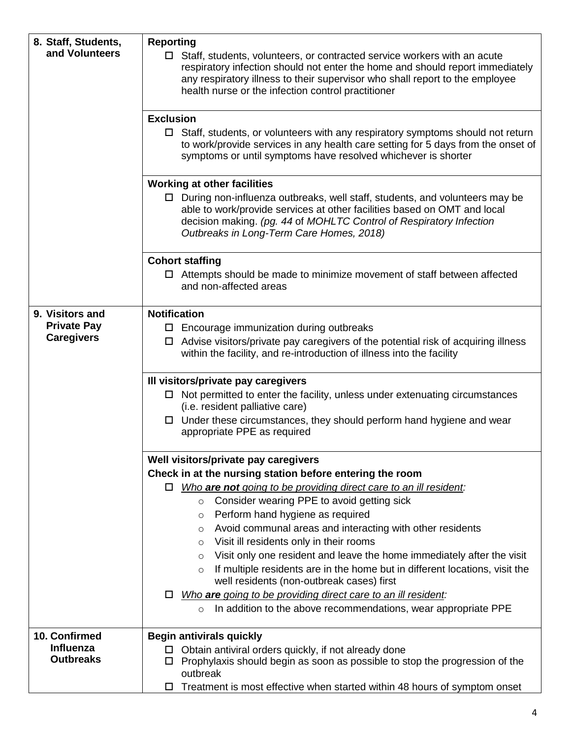| 8. Staff, Students,<br>and Volunteers   | <b>Reporting</b><br>$\Box$ Staff, students, volunteers, or contracted service workers with an acute<br>respiratory infection should not enter the home and should report immediately<br>any respiratory illness to their supervisor who shall report to the employee<br>health nurse or the infection control practitioner |
|-----------------------------------------|----------------------------------------------------------------------------------------------------------------------------------------------------------------------------------------------------------------------------------------------------------------------------------------------------------------------------|
|                                         | <b>Exclusion</b><br>$\Box$ Staff, students, or volunteers with any respiratory symptoms should not return<br>to work/provide services in any health care setting for 5 days from the onset of<br>symptoms or until symptoms have resolved whichever is shorter                                                             |
|                                         | <b>Working at other facilities</b>                                                                                                                                                                                                                                                                                         |
|                                         | $\Box$ During non-influenza outbreaks, well staff, students, and volunteers may be<br>able to work/provide services at other facilities based on OMT and local<br>decision making. (pg. 44 of MOHLTC Control of Respiratory Infection<br>Outbreaks in Long-Term Care Homes, 2018)                                          |
|                                         | <b>Cohort staffing</b><br>$\Box$ Attempts should be made to minimize movement of staff between affected<br>and non-affected areas                                                                                                                                                                                          |
| 9. Visitors and                         | <b>Notification</b>                                                                                                                                                                                                                                                                                                        |
| <b>Private Pay</b><br><b>Caregivers</b> | $\Box$ Encourage immunization during outbreaks<br>$\Box$ Advise visitors/private pay caregivers of the potential risk of acquiring illness<br>within the facility, and re-introduction of illness into the facility                                                                                                        |
|                                         | III visitors/private pay caregivers                                                                                                                                                                                                                                                                                        |
|                                         | $\Box$ Not permitted to enter the facility, unless under extenuating circumstances<br>(i.e. resident palliative care)                                                                                                                                                                                                      |
|                                         | $\Box$ Under these circumstances, they should perform hand hygiene and wear<br>appropriate PPE as required                                                                                                                                                                                                                 |
|                                         | Well visitors/private pay caregivers                                                                                                                                                                                                                                                                                       |
|                                         | Check in at the nursing station before entering the room                                                                                                                                                                                                                                                                   |
|                                         | Who are not going to be providing direct care to an ill resident:<br>0                                                                                                                                                                                                                                                     |
|                                         | Consider wearing PPE to avoid getting sick<br>$\circ$                                                                                                                                                                                                                                                                      |
|                                         | Perform hand hygiene as required<br>O                                                                                                                                                                                                                                                                                      |
|                                         | Avoid communal areas and interacting with other residents<br>O                                                                                                                                                                                                                                                             |
|                                         | Visit ill residents only in their rooms<br>O                                                                                                                                                                                                                                                                               |
|                                         | Visit only one resident and leave the home immediately after the visit<br>O                                                                                                                                                                                                                                                |
|                                         | If multiple residents are in the home but in different locations, visit the<br>$\circ$<br>well residents (non-outbreak cases) first                                                                                                                                                                                        |
|                                         | Who are going to be providing direct care to an ill resident:<br>□                                                                                                                                                                                                                                                         |
|                                         | In addition to the above recommendations, wear appropriate PPE<br>$\circ$                                                                                                                                                                                                                                                  |
| 10. Confirmed                           | <b>Begin antivirals quickly</b>                                                                                                                                                                                                                                                                                            |
| <b>Influenza</b>                        | Obtain antiviral orders quickly, if not already done<br>□                                                                                                                                                                                                                                                                  |
| <b>Outbreaks</b>                        | Prophylaxis should begin as soon as possible to stop the progression of the<br>$\Box$<br>outbreak                                                                                                                                                                                                                          |
|                                         | Treatment is most effective when started within 48 hours of symptom onset<br>□                                                                                                                                                                                                                                             |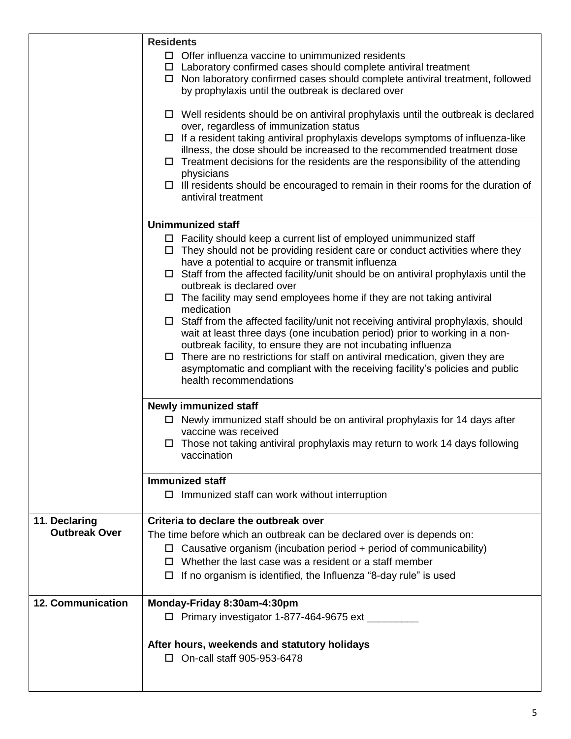|                                       | <b>Residents</b><br>$\Box$ Offer influenza vaccine to unimmunized residents<br>$\Box$ Laboratory confirmed cases should complete antiviral treatment<br>$\Box$ Non laboratory confirmed cases should complete antiviral treatment, followed<br>by prophylaxis until the outbreak is declared over<br>$\Box$ Well residents should be on antiviral prophylaxis until the outbreak is declared<br>over, regardless of immunization status<br>If a resident taking antiviral prophylaxis develops symptoms of influenza-like<br>$\Box$<br>illness, the dose should be increased to the recommended treatment dose                                                                                                                                                                                                                                                                                                          |
|---------------------------------------|-------------------------------------------------------------------------------------------------------------------------------------------------------------------------------------------------------------------------------------------------------------------------------------------------------------------------------------------------------------------------------------------------------------------------------------------------------------------------------------------------------------------------------------------------------------------------------------------------------------------------------------------------------------------------------------------------------------------------------------------------------------------------------------------------------------------------------------------------------------------------------------------------------------------------|
|                                       | Treatment decisions for the residents are the responsibility of the attending<br>$\Box$<br>physicians<br>$\Box$ III residents should be encouraged to remain in their rooms for the duration of<br>antiviral treatment                                                                                                                                                                                                                                                                                                                                                                                                                                                                                                                                                                                                                                                                                                  |
|                                       | <b>Unimmunized staff</b><br>$\Box$ Facility should keep a current list of employed unimmunized staff<br>$\Box$ They should not be providing resident care or conduct activities where they<br>have a potential to acquire or transmit influenza<br>$\Box$ Staff from the affected facility/unit should be on antiviral prophylaxis until the<br>outbreak is declared over<br>$\Box$ The facility may send employees home if they are not taking antiviral<br>medication<br>$\Box$ Staff from the affected facility/unit not receiving antiviral prophylaxis, should<br>wait at least three days (one incubation period) prior to working in a non-<br>outbreak facility, to ensure they are not incubating influenza<br>There are no restrictions for staff on antiviral medication, given they are<br>$\Box$<br>asymptomatic and compliant with the receiving facility's policies and public<br>health recommendations |
|                                       | <b>Newly immunized staff</b><br>$\Box$ Newly immunized staff should be on antiviral prophylaxis for 14 days after<br>vaccine was received<br>$\Box$ Those not taking antiviral prophylaxis may return to work 14 days following<br>vaccination<br><b>Immunized staff</b>                                                                                                                                                                                                                                                                                                                                                                                                                                                                                                                                                                                                                                                |
| 11. Declaring<br><b>Outbreak Over</b> | $\Box$ Immunized staff can work without interruption<br>Criteria to declare the outbreak over<br>The time before which an outbreak can be declared over is depends on:<br>$\Box$ Causative organism (incubation period + period of communicability)<br>Whether the last case was a resident or a staff member<br>П.<br>If no organism is identified, the Influenza "8-day rule" is used<br>$\Box$                                                                                                                                                                                                                                                                                                                                                                                                                                                                                                                       |
| <b>12. Communication</b>              | Monday-Friday 8:30am-4:30pm<br>□ Primary investigator 1-877-464-9675 ext _________<br>After hours, weekends and statutory holidays<br>□ On-call staff 905-953-6478                                                                                                                                                                                                                                                                                                                                                                                                                                                                                                                                                                                                                                                                                                                                                      |